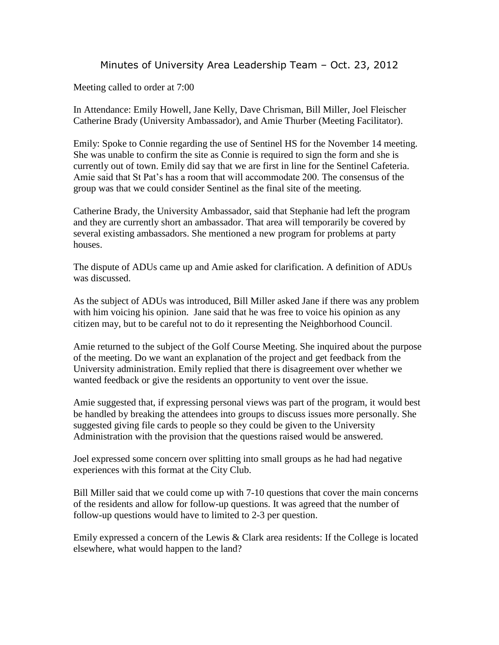## Minutes of University Area Leadership Team – Oct. 23, 2012

Meeting called to order at 7:00

In Attendance: Emily Howell, Jane Kelly, Dave Chrisman, Bill Miller, Joel Fleischer Catherine Brady (University Ambassador), and Amie Thurber (Meeting Facilitator).

Emily: Spoke to Connie regarding the use of Sentinel HS for the November 14 meeting. She was unable to confirm the site as Connie is required to sign the form and she is currently out of town. Emily did say that we are first in line for the Sentinel Cafeteria. Amie said that St Pat's has a room that will accommodate 200. The consensus of the group was that we could consider Sentinel as the final site of the meeting.

Catherine Brady, the University Ambassador, said that Stephanie had left the program and they are currently short an ambassador. That area will temporarily be covered by several existing ambassadors. She mentioned a new program for problems at party houses.

The dispute of ADUs came up and Amie asked for clarification. A definition of ADUs was discussed.

As the subject of ADUs was introduced, Bill Miller asked Jane if there was any problem with him voicing his opinion. Jane said that he was free to voice his opinion as any citizen may, but to be careful not to do it representing the Neighborhood Council.

Amie returned to the subject of the Golf Course Meeting. She inquired about the purpose of the meeting. Do we want an explanation of the project and get feedback from the University administration. Emily replied that there is disagreement over whether we wanted feedback or give the residents an opportunity to vent over the issue.

Amie suggested that, if expressing personal views was part of the program, it would best be handled by breaking the attendees into groups to discuss issues more personally. She suggested giving file cards to people so they could be given to the University Administration with the provision that the questions raised would be answered.

Joel expressed some concern over splitting into small groups as he had had negative experiences with this format at the City Club.

Bill Miller said that we could come up with 7-10 questions that cover the main concerns of the residents and allow for follow-up questions. It was agreed that the number of follow-up questions would have to limited to 2-3 per question.

Emily expressed a concern of the Lewis & Clark area residents: If the College is located elsewhere, what would happen to the land?